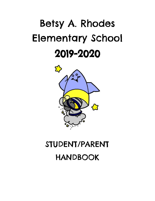# Betsy A. Rhodes Elementary School 2019-2020



# STUDENT/PARENT HANDBOOK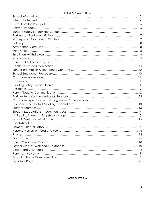#### TABLE OF CONTENTS

| 3 |
|---|
|   |
| 5 |
| 6 |
| 7 |
|   |
|   |
|   |
|   |
|   |
|   |
|   |
|   |
|   |
|   |
|   |
|   |
|   |
|   |
|   |
|   |
|   |
|   |
|   |
|   |
|   |
|   |
|   |
|   |
|   |
|   |
|   |
|   |
|   |
|   |
|   |
|   |
|   |
|   |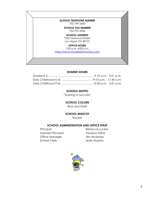

#### **STUDENT HOURS**

#### **SCHOOL MOTTO**

"Soaring to Success"

**SCHOOL COLORS**

Blue and Gold

**SCHOOL MASCOT**

Rocket

#### **SCHOOL ADMINISTRATION AND OFFICE STAFF**

Assistant Principal Vanessa Altfas Office Manager **Jen Alvarado** School Clerk Molly Murphy

Principal Rebecca Lucero

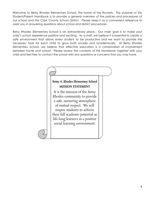Welcome to Betsy Rhodes Elementary School, the home of the Rockets. The purpose of this Student/Parent Handbook is to provide a general overview of the policies and procedures of our school and the Clark County School District. Please keep it as a convenient reference to assist you in answering questions about school and district procedures.

Betsy Rhodes Elementary School is an extraordinary place. Our main goal is to make your child's school experience positive and exciting. As a staff, we believe it is essential to create a safe environment that allows every student to be productive and we want to provide the necessary tools for each child to grow both socially and academically. At Betsy Rhodes Elementary School, we believe that effective education is a combination of involvement between home and school. Please review the contents of this handbook together with your child and feel free to contact the school with any questions or concerns that you may have.

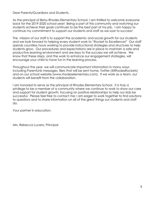Dear Parents/Guardians and Students,

As the principal of Betsy Rhodes Elementary School, I am thrilled to welcome everyone back for the 2019-2020 school year! Being a part of this community and watching our students achieve their goals continues to be the best part of my job. I am happy to continue my commitment to support our students and staff as we soar to success!

The mission of our staff is to support the academic and social growth for our students and we look forward to helping every student work to "Rocket to Excellence!" Our staff spends countless hours working to provide instructional strategies and structures to help students grow. Our procedures and expectations are in place to maintain a safe and productive learning environment and are keys to the success we will achieve. We know that these steps, and the work to enhance our engagement strategies, will encourage your child to have fun in the learning process.

Throughout the year, we will communicate important information in many ways including ParentLink messages, fliers that will be sent home, Twitter (@RhodesRockets) and on our school website (www.rhodeselementary.com). If we work as a team, our students will benefit from the collaboration.

I am honored to serve as the principal of Rhodes Elementary School. It is truly a privilege to be a member of a community where we continue to work to show our care and support for student growth, focusing on positive relationships to help our kids be successful. Please feel free to contact me; I am eager to work together to find solutions to questions and to share information on all of the great things our students and staff do.

Your partner in education,

Mrs. Rebecca Lucero, Principal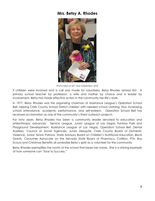### **Mrs. Betsy A. Rhodes**



*Photo taken at 20 th Year Celebration, 2018*

If children were involved and a call was made for volunteers, Betsy Rhodes arrived first. A primary school teacher by profession, a wife and mother by choice and a leader by involvement, Betsy has made effective action in the community her life's work.

In 1977, Betsy Rhodes was the organizing chairman of Assistance League's Operation School Bell, helping Clark County School District children with needed school clothing; thus, increasing school attendance, academic performance, and self-esteem. Operation School Bell has received acclamation as one of the community's finest outreach projects.

For forty years, Betsy Rhodes has been a community leader devoted to education and philanthropic advances. Service League, Junior League of Las Vegas, Fantasy Park and Playground Development, Assistance League of Las Vegas, Operation School Bell, Dental Auxiliary, Council of Social Agencies, Junior Mesquite, Clark County Board of Domestic Violence, Junior Tennis Patrons, State Advisory Board on Children's Nutritional Education, Block Grants, Consumer Advocate on the Nevada State Board of Pharmacy, Cotillion, PTA, Boy Scouts and Christmas Benefits all symbolize Betsy's spirit as a volunteer for the community.

Betsy Rhodes exemplifies the motto of the school that bears her name. She is a shining example of how someone can "Soar to Success."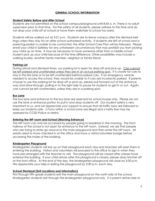#### **GENERAL SCHOOL INFORMATION**

#### **Student Safety Before and After School**

Students are not permitted on the school campus/playground until 8:45 a. m. There is no adult supervision prior to that time. For the safety of all students, please adhere to this time and do not drop your child off at school or have them walk/ride to school too early.

Students will be walked out at 3:21 p.m. Students are to leave campus after the dismissal bell rings unless they stay for an after school authorized activity. If students are left at school and a parent/guardian is unable to be contacted, the After School Care Plan will be followed. Please enroll your child in Safekey for any unforeseen circumstances that may prohibit you from picking your child up on time. It may be necessary to have someone other than a middle school student pick up your child because of the time difference. Other possibilities may include a walking buddy, another family member, neighbor or family friend.

#### **Parking Lot**

During arrival and dismissal times, our parking lot is open for drop-off and pick-up. Cars cannot be left parked and unattended unless they are in an actual parking spot. It is unsafe for cars to stay in the fire lane or to be left unattended behind parked cars. If an emergency vehicle needed to access the school, they would be unable to if cars are incorrectly parked. If parents choose to use the parking lot for drop-off or pick-up, please pull forward out of the entrance way and drive-through, pulling in to the right side to pause for students to get in or out. Again, cars cannot be left unattended, unless they are in a parking spot.

#### **Bus Lane**

The bus lane and entrance to the bus lane are reserved for school busses only. Please do not use the lane or entrance portion to pull in and drop students off. Our student safety is very important to us, and we appreciate your support to ensure that all traffic laws are followed to keep our students safe. U-Turns within a school zone are illegal and a hefty fine may be assessed by CCSD Police or Metro.

#### **Entering the MP room and School (Morning Entrance)**

The MP room can only be accessed by people going to breakfast in the morning. The front hallway of the school is not open for entrance to the MP room. Instead, we ask that people who are trying to enter go around to the main playground and then enter the MP room. All adults need to have checked in at the office and have a visitor/volunteer badge before accessing the inside of the building.

#### **Kindergarten Playground**

Kindergarten students will line up on their playground each day and teachers will assist them in entering the building. Visitors and volunteers will proceed to the office to sign in when they have pre-arranged with the teacher to visit. The playground will be closed after classes have entered the building. If your child arrives after the playground is closed, please drop him/her off at the front office. At the end of the day, the kindergarten playground will close by 3:30 p.m. We appreciate your help in exiting the playground by 3:30 p.m. each day.

#### **School Dismissal (Exit Locations and Information)**

First through fifth grade students exit the main playground on the north side of the school. Kindergarten students exit through the kindergarten playground only. If a parent arrives late to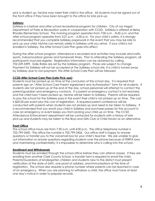pick a student up, he/she may meet their child in the office. *All students must be signed out of the front office if they have been brought to the office for late pick-up.*

#### **Safekey**

[Safekey](http://www.lasvegasnevada.gov/find/21399.htm#Registration__Payment_Information) is a before and after school recreational program for children. City of Las Vegas' Department of Parks & Recreation works in cooperation with CCSD. Safekey is offered at Betsy Rhodes Elementary School. The morning program operates from 7:00 a.m. - 8:45 a.m. and the after school program operates from 3:21 p.m. - 6:30 p.m. For your child's safety, it is strongly recommended that you complete Safekey paperwork in the event that you may be late to pick up your child, he/she can remain safely in Safekey until you arrive. If your child is not enrolled in Safekey, the After School Care Plan goes into effect.

During the after school program, attendance is recorded and activities may include arts/crafts, sports, indoor/outdoor games and homework times. Prior to attending the Safekey program, all participants must pre-register. Registration information can be obtained by calling 702-229-3399. Daily Rates are set by the Safekey program. Prices are subject to change. Payment for Safekey will not be accepted at the Safekey school site. If a child is turned away by Safekey due to non-payment, the After School Care Plan will be followed.

#### **CCSD After School Care Plan (Late Pick-ups)**

Students must be picked up on time at the conclusion of the school day. It is required that parents sign an "After School Care Parent Agreement and Authorization" form for all students. If students are not picked up at the end of the day, school personnel will attempt to contact the parent/guardian and emergency contacts. If a parent or emergency contact is not reached, and the child hasn't been picked up, he/she will be taken to Safekey. Parents will be required to pay the school for the Safekey pass in the event their child is not picked up on time. The cost is \$20.00 per event plus the cost of registration. A required parent conference will be conducted with parents when students are not picked up and need to be taken to Safekey. It is recommended that you enroll your child in Safekey and purchase passes for the account in case an emergency or event keeps you from picking your child up on time. The CCSD Attendance Enforcement department will be contacted for students with a history of late pick-up and students may be taken to the Boys and Girls Club or Child Haven as an alternative.

#### **Front Office**

The school office hours are from 7:30 a.m. until 4:00 p.m. The office telephone number is 702-799-3450. The office fax number is 702-799-3456. Our office staff is happy to answer questions or transfer you to the voicemail box for your child's teacher. We are unable to give out information or answer questions regarding students over the phone because of FERPA laws and maintaining confidentiality; it is impossible to determine who is calling into the school.

#### **Enrollment and Withdrawals**

Students must be enrolled through the school office before they can attend classes. If they are enrolling from another Clark County School, a transfer form is required to enroll the child. Parents/Guardians of kindergarten children and students new to the district must present verification of the date of birth, one proof of address, and immunizations at the time of registration. The school also requires a phone number where parents can be reached in case of an emergency. When you are planning to withdraw a child, the office must have at least one day's notice in order to prepare records.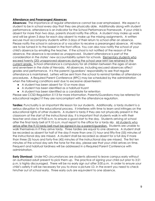#### **Attendance and Prearranged Absences**

**Absences:** The importance of regular attendance cannot be over emphasized. We expect a student to be in school every day that they are physically able. Additionally along with student performance, attendance is an indicator for the School Performance Framework. If your child is absent for more than two days, parents should notify the office. A student may make up work and will be given 3 days for each day absent to make up the missing assignments. A written excuse must accompany students within 3 days of their return to school after an absence. Please notify the school in advance of a vacation to receive a prearranged absence. All notes are to be turned in to the basket in the front office. You can also now notify the school of your child's absence by emailing the teacher. If the school is not notified of the reason of the absence, the absence is recorded as unapproved. Student attendance is part of the consideration in the states' new accountability system for schools. Elementary students who exceed twenty (20) unapproved absences during the school year MAY be retained in the current grade. School attendance is compulsory for all children between the ages of seven and seventeen in the state of Nevada. All absences, including excused absences affect grades and performance. It is the parents'/guardians' responsibility to see that regular attendance is maintained. Letters will be sent from the school to remind families of attendance procedures. A Required Parent Conference (RPC) may be scheduled by the administration when the following conditions exist due to excessive absenteeism:

- A student has been absent for 10 or more days
- A student has been identified as a habitual truant
- A student has been identified as a candidate for retention

Please see CCSD [Regulation](http://ccsd.net/district/policies-regulations/pdf/5113_R.pdf) 5113 for more information. Parents/Guardians may be referred for educational neglect if they are noncompliant with the attendance regulation.

**Tardies:** Punctuality is an important life lesson for our students. Additionally, a tardy student is a serious disruption to the educational process. It interferes with time to learn and infringes on the educational rights of other students. A student is tardy if they are not physically present in the classroom at the start of the instructional day. It is important that students walk in with their teacher and class at 9:00 a.m. to ensure a good start to the day. Students arriving at school after the final tardy bell at 9:10 a.m. must report to the office for a tardy slip. All students who arrive after the 9:10 tardy bell must be signed in by a parent/guardian. Students are unable to walk themselves in if they arrive tardy. Three tardies are equal to one absence. A student shall be recorded as absent for half of the day if more than one (1) hour and fifty-five (55) minutes of the instructional day are missed. A student shall be recorded as absent for a full day if more than three (3) hours and forty-five (45) minutes of the instructional day are missed. The first ten minutes of the school day sets the tone for the day, please see that your child arrives on time. Frequent and habitual tardiness will be addressed in a Required Parent Conference with administration.

**Early Dismissal:** Under NO circumstances are students allowed to leave campus early without an authorized adult present to pick them up. The practice of signing your child out prior to 3:21 p.m. is highly discouraged. There will be no early sign out after 3:00 p.m. In order to ensure your child's safety it will be necessary for you to show a picture I.D. in the event you need to check him/her out of school early. Three early outs are equivalent to one absence.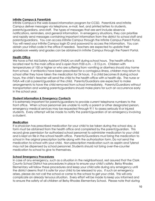#### **Infinite Campus & ParentLink**

Infinite Campus is the web-based information program for CCSD. ParentLink and Infinite Campus deliver messages via telephone, e-mail, text, and printed letters to students, parents/guardians, and staff. The types of messages that are sent include absence notifications, reminders, and general information. In emergency situations, they can prioritize and rapidly send messages containing important information from the district to school staff and parents/guardians. You can access Infinite Campus through the Infinite Campus Parent Portal. You will need your Infinite Campus login ID and password to access the information. You can obtain your initial code in the office if needed. Teachers are expected to update their gradebook weekly and grades can be obtained in Infinite Campus through the Parent Portal.

#### **Health Office**

We have a First Aid Safety Assistant (FASA) on staff during school hours. The health office is located next to the main office and is open from 9:00 a.m. – 3:15 p.m. Children with temperatures of 100 or higher or who are suffering from vomiting or diarrhea should stay home from school. If antibiotics have been prescribed for a contagious illness, children may return to school after they have taken the medication for 24 hours. If a child becomes ill during school hours, the child's teacher will send the child to the health office with a health slip. The nurse or FASA will call a parent/guardian of the child. Parents/Guardians are expected to make arrangements to have the child removed from school immediately. Parents/Guardians without transportation and working parents/guardians should make plans for such an occurrence early in the school year.

#### **Student Information & Emergency Contacts**

It is extremely important for parents/guardians to provide current telephone numbers to the front office. When school personnel are unable to notify a parent or other designated person, emergency medical services may be requested through 911 to assess seriously ill or injured students. Every attempt will be made to notify the parent/guardian of an emergency involving a student.

#### **Medication**

If a physician has prescribed medication for your child to be taken during the school day, a form must be obtained from the health office and completed by the parent/guardian. This record gives permission for authorized school personnel to administer medication to your child and is kept on file in the school health office. Parents/Guardians must bring the medication to school in the original prescription bottle along with the authorization form. Do not send the medication to school with your child. Non-prescription medication such as aspirin and Tylenol may not be dispensed by school personnel. Students should not bring over-the-counter medication to school to give to themselves.

#### **School Emergency Procedures**

In case of any emergency, such as a situation in the neighborhood, rest assured that the Clark County School District has procedures in place to ensure your child's safety. Betsy Rhodes Elementary will follow these procedures and keep your child safe during any emergency until the district deems that it is safe for your child to be released to you. If such an emergency arises, please do not call the school or come to the school to get your child. This will only complicate an already tenuous situation. Every effort will be made to keep you informed and to ensure the safety of all children at Betsy Rhodes Elementary School. Please note that during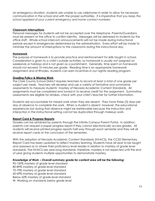an emergency situation, students are unable to use cellphones in order to allow for necessary communication in the school and with the proper authorities. *It is imperative that you keep the school apprised of your current emergency and home contact numbers.*

#### **Classroom Interruptions**

Personal messages for students will not be accepted over the telephone. Parents/Guardians must be present at the office to confirm identity. Messages will be delivered to students by the office staff. Whole school intercom announcements will not be made during instructional periods except in emergencies determined by the administration. Every effort will be made to minimize the amount of interruptions to the classrooms during the instructional day.

#### **Homework**

The purpose of homework is to provide practice and reinforcement for skills taught in school. Consideration is given to a child's outside activities, so homework is usually not assigned on weekends or holidays and is not given as a punishment. Generally, time spent on homework should not exceed 10 minutes per grade. Reading time is an appropriate homework assignment and at Rhodes, students can earn incentives in our nightly reading program.

#### **Grading Policy & Missing Work**

The Clark County School District requires teachers to record at least a total of one grade per subject per week. Teachers will develop and use a variety of formative and summative assessments to measure students' mastery of Nevada Academic Content Standards. All assignments must be completed and turned in to receive credit for the assignment. Summative assessments are eligible for retakes, check with your child's teacher for further information.

Students are accountable for missed work when they are absent. They have three (3) days per day of absence to complete the work. When a student is absent, however, the educational experiences lost during that absence might be irretrievable because the instruction and interaction in the instructional setting cannot be duplicated through makeup work.

#### **Report Card & Progress Reports**

Grades can be obtained by parents through the Infinite Campus Parent Portal. In addition, parents can request a paper progress report if they cannot electronically access grades. All students will receive printed progress reports half-way through each semester and they will all receive report cards at the conclusion of the semesters.

With the adoption of Nevada Academic Content Standards (NVACS), the CCSD Elementary Report Card has been updated to reflect mastery learning. Students have all year to be taught and assessed as to where their proficiency level resides in relation to mastery of grade level standards. The NVACS are year-long standards; therefore, mastery is not expected until the end of year giving students multiple opportunities to demonstrate mastery.

#### *Knowledge of Work – Overall summary grade for content area will be the following:*

90-100% mastery of grade level standard 80-89% mastery of grade level standard 70-79% mastery of grade level standard 60-69% mastery of grade level standard Below 60% mastery of grade level standard W- Working on standards below grade level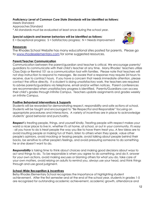#### *Proficiency Level of Common Core State Standards will be identified as follows:*

Meets Standard Approaches Standard \* All standards must be evaluated at least once during the school year.

#### *Special subjects and learner behaviors will be identified as follows:*

 $E =$  Exceptional progress;  $S =$  Satisfactory progress;  $N =$  Needs improvement



#### **Resources**

The Rhodes School Website has many educational sites posted for parents. Please go to [www.rhodeselementary.com](http://www.rhodeselementary.com/) for some suggested resources.

#### **Parent/Teacher Communication**

Communication between the parent/guardian and teacher is critical. We encourage parents/ guardians to communicate with their child's teacher at any time. Many Rhodes' teachers utilize Class Dojo or Remind 101 as a communication tool with families. Please note that teachers will not stop instruction to respond to messages. Be aware that a response may require 24 hours to receive, due to contract hours. If you have a concern that needs immediate attention, please contact the office directly. If a student is doing unsatisfactory work, the teachers are required to advise parents/guardians via telephone, email and/or written notices. Parent conferences are recommended when unsatisfactory progress is identified. Parents/Guardians can access their child's grades through Infinite Campus. Teachers update assignments and grades weekly on Infinite Campus.

#### **Positive Behavioral Interventions & Supports**

Students will be rewarded for demonstrating respect, responsibility and safe actions at school. Students will be taught and encouraged to "Be Respectful and Responsible" focusing on appropriate procedures and interactions. A variety of incentives are in place to acknowledge students' good behavior and punctuality.

*Respect* is treating people, things, and yourself kindly. Treating people with respect makes your world a nicer place to live in, whether it's at home, at school, or out in your community. It's easy - all you have to do is treat people the way you like to have them treat you. A few ideas are to avoid insulting people or making fun of them, listen to others when they speak, value other people's opinions, avoid mocking or teasing people, avoid talking about people behind their backs, be sensitive to other people's feelings, and avoid pressuring someone to do something he or she doesn't want to do.

*Responsibility* is taking time to think about choices and making good decisions about ways to act and things to do. To be responsible is when you agree to do something, and do it, answer for your own actions, avoid making excuses or blaming others for what you do, take care of your own matters, avoid relying on adults to remind you, always use your head, and think things through and use good judgment.

#### **School-Wide Recognition & Incentives**

Betsy Rhodes Elementary School recognizes the importance of highlighting student achievement. After the first semester and at the end of the school year, students in grades 1-5 are recognized for outstanding academic achievement, academic growth, attendance and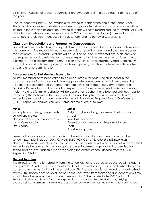citizenship. Additional special recognitions are awarded to fifth grade students at the end of the year.

Rocket Incentive Night will be available for invited students at the end of the school year. Students who have demonstrated consistently appropriate behaviors and attendance will be invited to the evening celebration. Invited students will have maintained the following: All E's or S's for learner behaviors on their report cards, 96% or better attendance (no more than 6 absences, 3 tardies/early checkouts = 1 absence), and no behavior suspensions.

#### **Classroom Expectations and Progressive Consequences**

Each classroom teacher has developed classroom expectations for the students' behavior in the classroom. The responsibilities have been discussed with students and are clearly posted in the classroom(s). Parents/Guardians will be notified of specific expectations. A hierarchy of consequences for students who do not meet expectations has also been established in each classroom. The classroom management plan could include: a reminder/verbal warning, time out, a phone call or letter to parent/guardians, a parent/guardian conference with teachers, and a referral to administration.

#### **Consequences for Not Meeting Expectations**

All staff members have been asked to be accountable for observing all students in the common areas of our school and giving appropriate consequences for failure to meet the responsibilities expected of students. Therefore, any staff member may give a student a Discipline Referral for an infraction of an expectation. Referrals may be classified as minor or major. Referrals for minor behavior will be done after teachers have followed previous steps for addressing the behavior with students and parents. Discipline measures may result in an immediate removal from class, referral to the administration, Required Parent Conference (RPC), Suspension and/or Expulsion. Some examples are as follows:

| <b>Minor</b>                      | <b>Major</b>                                       |
|-----------------------------------|----------------------------------------------------|
| Incomplete or missing assignments | Bullying, cyber-bullying, harassment, intimidation |
| Disruptions in class              | Assault                                            |
| Non-compliance or insubordination | Vandalism or arson                                 |
| Lack of preparation               | Possession of a weapon or illegal substance        |
| Dress code                        | <b>Theft</b>                                       |
|                                   | Abusive language                                   |

Items that pose a safety concern or disrupt the educational environment should not be at school. Examples include: GUM, CANDY, ELECTRONICS, TOYS, AND SPORTS EQUIPMENT. No knives, fireworks, matches, etc. are permitted. Students found in possession of weapons shall immediately be referred to the appropriate law enforcement agency and suspended from school until an investigation is made regarding the circumstance. (Please refer to [CCSD](http://ccsd.net/district/policies-regulations/pdf/5141.1_R.pdf) [Regulation](http://ccsd.net/district/policies-regulations/pdf/5141.1_R.pdf) 5141.1)

#### **Student Searches**

The following information, directly from the school district, is required to be shared with students and parents: "Students are hereby informed that they will be subject to search when they enter campus after the beginning of the school day. This includes, but is not limited to, unauthorized returns. This notice does not exclude personnel, however, from searching a student at any time should there be reasonable suspicion of wrongdoing." Please refer to the CCSD publication [Behaving](http://www.goyneses.org/ourpages/auto/2010/11/5/57581208/777-Behaving_Positively_8_11_FINAL.pdf) Positively at School for further explanation of corrective disciplinary actions, bullying, cyber-bullying, harassment, intimidation, rules of conduct for school bus riders and student dress code.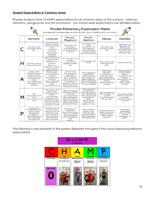#### **Student Expectations in Common Areas**

Rhodes students have CHAMPS expectations for all common areas of the campus: hallways, restrooms, playgrounds and the lunchroom. Our school-wide expectations are detailed below:



The following is one example of the posters displayed throughout the school displaying behavior expectations.

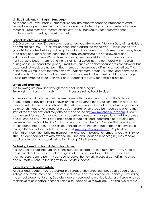#### **Limited Proficiency in English Language**

All teachers at Betsy Rhodes Elementary School use effective teaching practices to assist second language students with building background for learning and comprehending new material. Translators and interpreters are available upon request for parent/teacher conferences, IEP meetings, registration, etc.

#### **School Celebrations and Birthdays**

CCSD allows for three (3) celebrations per school year (Halloween/Nevada Day, Winter Holiday, and Valentine's Day). Details will be announced during the school year. Please check with your child's teacher before purchasing treats for school celebrations. Some students may have food allergies or other health concerns. Birthday celebrations are not allowed during instructional time. Parents/Guardians may recognize their child's birthday by sending in a nut-free, store-bought item (adhering to Nutritional Guidelines) to be shared with the class during non-instructional time (lunch). Small items, such as cookies or cupcakes are allowed, but pizzas and full meals are not permitted. Items can be dropped off in the school office. The office staff will make sure that the birthday treats are store-bought, nut-free, and delivered to the students. Food items for other celebrations also need to be store-bought and packaged. Please remember to check with your child's teacher regularly for possible allergies.

#### **Lunch and Breakfast**

The following are provided through the school lunch program: Breakfast Lunch Milk (Prices are set by Food [Services\)](https://secure.ccsd.net/departments/food-service/)

A breakfast and lunch menu will be sent home with students each month. Students are encouraged to buy breakfasts and/or lunches in advance for a week or a month and will be credited with the number purchased. This system eliminates the problems of lost, forgotten, or stolen lunch money. Purchases for breakfast and/or lunch should be made daily prior to the start of the school day, and may also be made online at [www.myschoolbucks.com](http://www.myschoolbucks.com/) . Credits can be used for breakfast or lunch. Any student who needs to charge a lunch will be allowed one (1) charge only. If your child has a special medical need regarding diet (allergies, etc.), please inform the Food Service Staff in writing. Informing the Food Service Staff in writing must occur each school year. Food Service [applications](https://secure.ccsd.net/departments/food-service/free-reduced-online-application) for free or reduced meals are available through the front office, cafeteria or online at [www.myschoolapps.com](http://www.myschoolapps.com/) . Application information is confidentiality maintained. The lunchroom telephone number is 702-799-3450, ext. 4012. Student populations who exceed 40% Free and Reduced Lunches (FRL) may receive additional funding to support instruction, through Title I services.

#### **Delivering items to school during school hours:**

It is our goal to keep interruptions of the instructional program to a minimum. If you need to deliver lunch or lunch money, please sign in at the office, and you will be directed to the multi-purpose room to pay. If you need to deliver homework, please drop if off in the office, and our staff will ensure that it gets to your child's teacher.

#### **Bicycles and Scooter Safety**

All bikes and scooters must be walked in all areas of the school campus by all students, older siblings, and family members. The areas include all sidewalks on and immediately surrounding the school property. Parents/Guardians are encouraged to provide locks for children who ride their bicycles or scooters to school. Each bike should have its own lock. Locking two or more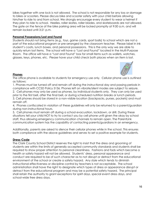bikes together with one lock is not allowed. The school is not responsible for any loss or damage to bikes or scooters. Please discuss bike and scooter safety with your child before allowing him/her to ride to and from school. We strongly encourage every student to wear a helmet if they plan to ride to school. Heelies, roller skates, roller blades, and skateboards are not allowed. The gate on the fence of the bike parking area will be locked promptly at 9:00 a.m. and will remain locked until 3:21 p.m.

#### **Personal Possessions/Lost and Found**

Students should not bring items (e.g., toys, game cards, sport balls) to school which are not a part of the educational program or pre-arranged by the classroom teacher. Please label in ink student's coats, lunch boxes, and personal possessions. This is the only way we are able to quickly return lost items. The school will have a "Lost and Found" located in the Multi-Purpose Room. The office will have a "Lost and Found" box for small items such as wallets, watches, glasses, keys, phones, etc. Please have your child check both places when an item is lost.



#### **Phones**

The office phone is available to students for emergency use only. Cellular phone use is outlined as follows:

1. Phones must be turned off and remain off during the instructional day and passing periods in compliance with CCSD Policy 5136. Phones left on vibrate/silent modes are subject to seizure. 2. Cell phones may only be used as phones, by individual students only. They can only be used prior to the first bell, after the final bell, or during scheduled nutrition breaks or lunch periods. 3. Cell phones should be stored in a non-visible location (backpacks, purses, pockets) and must remain off.

4. Phones confiscated in violation of these guidelines will only be returned to a parent/guardian during non-instructional hours.

5. Cell phones must remain off during a school evacuation, lockdown, or drill. During these situations tell your child NOT to try to contact you by cell phone until given the okay by school staff, thus allowing emergency communication channels to remain open. The ParentLink communication system has the capability of contacting parents/guardians in an emergency.

Additionally, parents are asked to silence their cellular phones while in the school. This ensures both compliance with the above guidelines and serves to set a positive example for students.

#### **Dress Code**

The Clark County School District reserves the right to insist that the dress and grooming of students are within the limits of generally accepted community standards and students shall be required to show proper attention to personal cleanliness. Fashions and fads which become a health or safety hazard will not be allowed. Students' dress, personal appearance and conduct are required to be of such character as to not disrupt or detract from the educational environment of the school or create a safety hazard. Any style which tends to diminish instructional effectiveness or discipline control by teachers is not acceptable. The school administration shall have the right to designate which types of dress or appearance disrupt or detract from the educational program and may be a potential safety hazard. The principal shall retain the authority to grant exceptions for spirit days, special event dress days, and school-wide free dress days.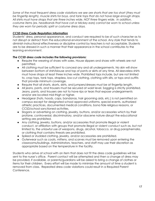*Some of the most frequent dress code violations we see are shorts that are too short (they must be fingertip length), muscle shirts for boys, and tank tops that do not have large enough straps. All shirts must have straps that are three inches wide, NOT three fingers wide. In addition, costume items (ex. headbands that have cat or Mickey ears) cannot be worn to school unless they are worn for periodic spirit or costume dress days.*

#### *CCSD Dress Code Regulation Information*

Students' dress, personal appearance, and conduct are required to be of such character as to not disrupt or detract from the educational environment of the school. Any style that tends to diminish instructional effectiveness or discipline control by teachers is not acceptable. Students are to be dressed in such a manner that their appearance in the school contributes to the learning environment.

#### *The CCSD dress code includes the following provisions:*

- Require the wearing of shoes with soles. House slippers and shoes with wheels are not permitted.
- All clothing must be sufficient to conceal any and all undergarments. No skin will show between bottom of shirt/blouse and top of pants or skirts at any time. All sleeveless shirts must have straps at least three inches wide. Prohibited tops include, but are not limited to, crop tops, tank tops, strapless, low-cut clothing, clothing with slits, or tops and outfits that provide minimum coverage.
- Require that all shorts, skorts, skirts, and jumpers/dresses must be at fingertip length.
- All jeans, pants, and trousers must be secured at waist level. Sagging is strictly prohibited. Jeans, pants, and trousers are not to have rips or tears that expose undergarments and/or are located mid-thigh or higher.
- Headgear (hats, hoods, caps, bandanas, hair grooming aids, etc.) is not permitted on campus except for designated school approved uniforms, special events, authorized athletic practices, documented medical conditions, bona fide religious reasons, or CCSD/school sanctioned activities.
- Slogans or advertising on clothing, jewelry, buttons, and/or accessories which by their profane, controversial, discriminatory, and/or obscene nature disrupt the educational setting are prohibited.
- Any clothing, jewelry, buttons, and/or accessories that promote illegal or violent conduct, or affiliation with groups that promote illegal or violent conduct such as, but not limited to, the unlawful use of weapons, drugs, alcohol, tobacco, or drug paraphernalia, or clothing that contains threats are prohibited.
- Spiked or studded clothing, jewelry, and/or accessories are prohibited.
- Outerwear such as coats, mittens, and scarves must be removed upon entering the classrooms/buildings. Administrators, teachers, and staff may use their discretion as appropriate based on the temperature in the facility.

Students who arrive at school with an item that does not fit the dress code guidelines will be sent to the nurse's office. Parent contact will be attempted and then a change of dress may be provided, if available, or parents/guardians will be asked to bring a change of clothes or items for their children. Every effort will be made to minimize the amount of time a student is removed from class. Repeated dress code violations could result in a Required Parent Conference.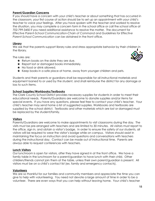#### **Parent/Guardian Concerns**

If you should have a concern with your child's teacher or about something that has occurred in the classroom, your first course of action should be to set up an appointment with your child's teacher to voice your feelings. After you have spoken with the teacher and worked to resolve the situation, you may complete a concern form in the school office or call the school office at 702-799-3450 if you need additional assistance to resolve the matter. The document for *Effective Parent-School Communication-Chain of Command* and *Guidelines for Effective Parent-School Communication* can be obtained in the front office.

#### **Library**

We ask that the parents support library rules and stress appropriate behavior by their children in the library.

The rules are:

- $\star$  Return books on the date they are due.
- ★ Report lost or damaged books immediately.
- ★ No food or drink allowed.
- ★ Keep books in a safe place at home, away from younger children and pets.

Students and their parents or guardians shall be responsible for all instructional materials and equipment loaned to or used by the student, and shall reimburse the district for any damage or loss to such items.

#### **School Supplies/Workbooks/Textbooks**

The Clark County School District provides necessary supplies for students in order to meet their educational needs. Parents/Guardians are welcome to donate supplies and/or items for special events. If you have any questions, please feel free to contact your child's teacher. Your child's teacher may send home a list of suggested supplies. Workbooks and textbooks are supplied by the school district. Textbooks and other materials which are lost or damaged must be replaced by the student/family.

#### **Visitors**

Parents/Guardians are welcome to make appointments to visit classrooms during the day. The visits must be pre-arranged with teachers and are limited to 30 minutes. All visitors must report to the office, sign in, and obtain a visitor's badge. In order to ensure the safety of our students, all visitors will be required to wear the visitor's badge while on campus. Visitors should assist in maintaining the focus on instruction and avoid questions and conversations with teachers during the instructional day. Contact can be made out of instructional time. Parents are always able to request conferences with teachers.

#### **Lunch Visitors**

Our lunchroom is open for visitors, after they have signed in at the front office. We have a family table in the lunchroom for a parent/guardian to have lunch with their child. Other children/friends cannot join them at the table, unless their own parent/guardian is present. All visitors must be on a child's contact list (ex. family and emergency contacts).

#### **Volunteers**

We are so thankful for our families and community members and appreciate the time you can give to help with volunteering. You need not devote a large amount of time in order to be a volunteer. There are even ways that you can help without leaving home. Your child's teacher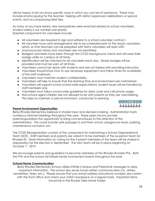will be happy to let you know specific ways in which you can be of assistance. These may include photocopying for the teacher, helping with district-approved celebrations or special events, and accompanying field trips.

As many of you have heard, new laws/policies were enacted related to school volunteers. Student safety is our number one priority.

Essential components for volunteers include:

- All volunteers are required to sign and adhere to a school volunteer contract.
- All volunteer hours and arrangements are to be scheduled prior to the day(s) volunteers arrive, so that teachers can be prepared with items volunteers will assist with.
- Unannounced visitors and volunteers are not permitted.
- Badged volunteers have been through the CCSD background check and will wear their badge while on campus at all times.
- Identification will be checked for all volunteers each day. Sticker badges will be provided and must be worn at all times.
- Volunteers cannot be alone with students and are not tasked with providing instruction.
- Volunteers should know how to use necessary equipment and follow times for availability of the staff workroom.
- Volunteers must maintain student confidentiality.
- Volunteers will help to ensure that the learning time and environment are maintained.
- Volunteers will support school school-wide expectations; student issues will be handled by staff members only.
- Volunteers must follow school-wide guidelines for dress code and cell phone usage.
- **●** Non-school aged children are not allowed to be with parents as they are volunteering. This helps to maintain a safe environment, conducive to learning.



#### **Parent Involvement Opportunities**

Betsy Rhodes Elementary believes in shared input and decision-making. Administration hosts numerous informal meetings throughout the year. These open forums provide parents/guardians the opportunity to bring concerns/issues to the attention of the administration. This could include safe passage to and from school, playground issues, parking, maintenance concerns, etc.

The CCSD Reorganization consists of the component for maintaining a School Organizational Team (SOT). Staff members and parents are voted in to be members of the six-person team for Rhodes ES. More information on voting for the 3 parent members of the team will be shared in preparation for the election in September. The new team will be in place beginning on October 1st, 2019.

We encourage parents and guardians to become members of the Rhodes Rockets PTA. Both the PTA and the school will initiate family involvement events throughout the year.

#### **School/Home Communication**

Betsy Rhodes Elementary School utilizes Infinite Campus and ParentLink messages to relay important information. The school also sends home written communication (i.e., letters, newsletters, flyers, etc.). Please ensure that your email address and phone numbers are current with the front office and check your child's backpack on a regular basis. Important items should be in the Rocket Take Home Folder.